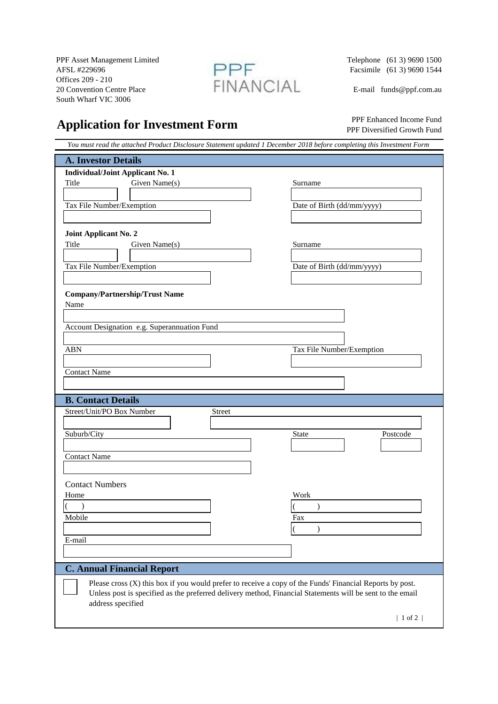PPF Asset Management Limited<br>AFSL #229696 (61 3) 9690 1500<br>Facsimile (61 3) 9690 1544 AFSL #229696 **Facsimile** (61 3) 9690 1544 Offices 209 - 210<br>20 Convention Centre Place 20 Convention Centre Place  $\Box \Box \Box \Box \Box \Box \Box \Box \Box \Box \Box \Box \Box$  E-mail funds @ppf.com.au South Wharf VIC 3006



## **Application for Investment Form**

 PPF Enhanced Income Fund PPF Diversified Growth Fund

| You must read the attached Product Disclosure Statement updated 1 December 2018 before completing this Investment Form                                                                                                                                      |                                                                    |
|-------------------------------------------------------------------------------------------------------------------------------------------------------------------------------------------------------------------------------------------------------------|--------------------------------------------------------------------|
| <b>A. Investor Details</b>                                                                                                                                                                                                                                  |                                                                    |
| <b>Individual/Joint Applicant No. 1</b><br>Title<br>Given Name(s)<br>Tax File Number/Exemption                                                                                                                                                              | Surname<br>Date of Birth (dd/mm/yyyy)                              |
| Joint Applicant No. 2<br>Title<br>Given Name(s)<br>Tax File Number/Exemption<br><b>Company/Partnership/Trust Name</b><br>Name<br>Account Designation e.g. Superannuation Fund<br><b>ABN</b><br><b>Contact Name</b>                                          | Surname<br>Date of Birth (dd/mm/yyyy)<br>Tax File Number/Exemption |
| <b>B. Contact Details</b>                                                                                                                                                                                                                                   |                                                                    |
| Street/Unit/PO Box Number<br>Street<br>Suburb/City<br><b>Contact Name</b>                                                                                                                                                                                   | State<br>Postcode                                                  |
| <b>Contact Numbers</b><br>Home<br>$\lambda$<br>Mobile<br>E-mail                                                                                                                                                                                             | Work<br>$\lambda$<br>Fax<br>$\mathcal{E}$                          |
| <b>C. Annual Financial Report</b>                                                                                                                                                                                                                           |                                                                    |
| Please cross (X) this box if you would prefer to receive a copy of the Funds' Financial Reports by post.<br>Unless post is specified as the preferred delivery method, Financial Statements will be sent to the email<br>address specified<br>$ 1$ of 2 $ $ |                                                                    |